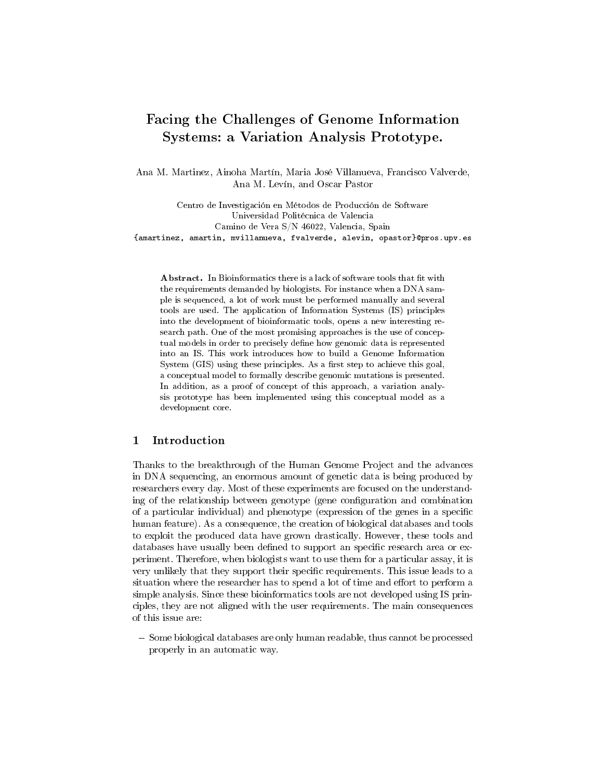# Facing the Challenges of Genome Information Systems: a Variation Analysis Prototype.

Ana M. Martinez, Ainoha Martín, Maria José Villanueva, Francisco Valverde, Ana M. Levín, and Oscar Pastor

Centro de Investigación en Métodos de Producción de Software Universidad Politécnica de Valencia Camino de Vera S/N 46022, Valencia, Spain {amartinez, amartin, mvillanueva, fvalverde, alevin, opastor}@pros.upv.es

Abstract. In Bioinformatics there is a lack of software tools that fit with the requirements demanded by biologists. For instance when a DNA sample is sequenced, a lot of work must be performed manually and several tools are used. The application of Information Systems (IS) principles into the development of bioinformatic tools, opens a new interesting research path. One of the most promising approaches is the use of conceptual models in order to precisely define how genomic data is represented into an IS. This work introduces how to build a Genome Information System (GIS) using these principles. As a first step to achieve this goal, a conceptual model to formally describe genomic mutations is presented. In addition, as a proof of concept of this approach, a variation analysis prototype has been implemented using this conceptual model as a development core.

# 1 Introduction

Thanks to the breakthrough of the Human Genome Project and the advances in DNA sequencing, an enormous amount of genetic data is being produced by researchers every day. Most of these experiments are focused on the understanding of the relationship between genotype (gene configuration and combination of a particular individual) and phenotype (expression of the genes in a specific human feature). As a consequence, the creation of biological databases and tools to exploit the produced data have grown drastically. However, these tools and databases have usually been defined to support an specific research area or experiment. Therefore, when biologists want to use them for a particular assay, it is very unlikely that they support their specific requirements. This issue leads to a situation where the researcher has to spend a lot of time and effort to perform a simple analysis. Since these bioinformatics tools are not developed using IS principles, they are not aligned with the user requirements. The main consequences of this issue are:

- Some biological databases are only human readable, thus cannot be processed properly in an automatic way.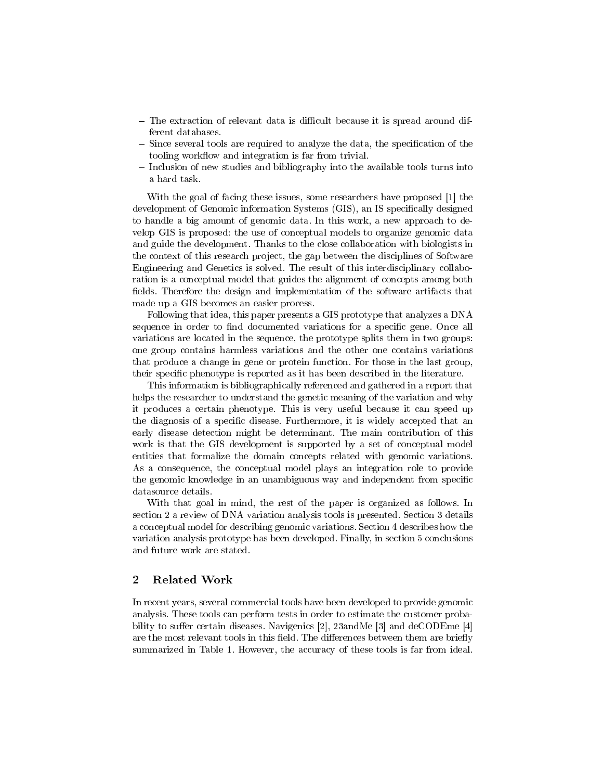- $-$  The extraction of relevant data is difficult because it is spread around different databases.
- Since several tools are required to analyze the data, the specification of the tooling workflow and integration is far from trivial.
- Inclusion of new studies and bibliography into the available tools turns into a hard task.

With the goal of facing these issues, some researchers have proposed [1] the development of Genomic information Systems (GIS), an IS specifically designed to handle a big amount of genomic data. In this work, a new approach to develop GIS is proposed: the use of conceptual models to organize genomic data and guide the development. Thanks to the close collaboration with biologists in the context of this research project, the gap between the disciplines of Software Engineering and Genetics is solved. The result of this interdisciplinary collaboration is a conceptual model that guides the alignment of concepts among both fields. Therefore the design and implementation of the software artifacts that made up a GIS becomes an easier process.

Following that idea, this paper presents a GIS prototype that analyzes a DNA sequence in order to find documented variations for a specific gene. Once all variations are located in the sequence, the prototype splits them in two groups: one group contains harmless variations and the other one contains variations that produce a change in gene or protein function. For those in the last group, their specific phenotype is reported as it has been described in the literature.

This information is bibliographically referenced and gathered in a report that helps the researcher to understand the genetic meaning of the variation and why it produces a certain phenotype. This is very useful because it can speed up the diagnosis of a specific disease. Furthermore, it is widely accepted that an early disease detection might be determinant. The main contribution of this work is that the GIS development is supported by a set of conceptual model entities that formalize the domain concepts related with genomic variations. As a consequence, the conceptual model plays an integration role to provide the genomic knowledge in an unambiguous way and independent from specific datasource details.

With that goal in mind, the rest of the paper is organized as follows. In section 2 a review of DNA variation analysis tools is presented. Section 3 details a conceptual model for describing genomic variations. Section 4 describes how the variation analysis prototype has been developed. Finally, in section 5 conclusions and future work are stated.

# 2 Related Work

In recent years, several commercial tools have been developed to provide genomic analysis. These tools can perform tests in order to estimate the customer probability to suffer certain diseases. Navigenics [2], 23andMe [3] and  $deCODEme [4]$ are the most relevant tools in this field. The differences between them are briefly summarized in Table 1. However, the accuracy of these tools is far from ideal.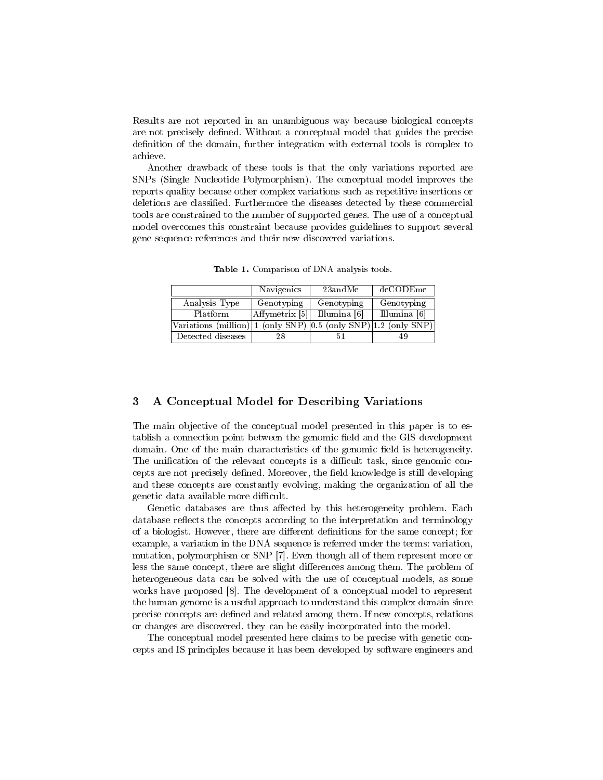Results are not reported in an unambiguous way because biological concepts are not precisely defined. Without a conceptual model that guides the precise definition of the domain, further integration with external tools is complex to achieve.

Another drawback of these tools is that the only variations reported are SNPs (Single Nucleotide Polymorphism). The conceptual model improves the reports quality because other complex variations such as repetitive insertions or deletions are classified. Furthermore the diseases detected by these commercial tools are constrained to the number of supported genes. The use of a conceptual model overcomes this constraint because provides guidelines to support several gene sequence references and their new discovered variations.

|                                                                       | Navigenics                         | 23andMe      | deCODEme     |
|-----------------------------------------------------------------------|------------------------------------|--------------|--------------|
| Analysis Type                                                         | Genotyping                         | Genotyping   | Genotyping   |
| Platform                                                              | $\vert$ Affymetrix $\vert 5 \vert$ | Illumina [6] | Illumina [6] |
| Variations (million) 1 (only SNP) $ 0.5$ (only SNP) $ 1.2$ (only SNP) |                                    |              |              |
| Detected diseases                                                     | 28                                 | 51           | 49           |

Table 1. Comparison of DNA analysis tools.

# 3 A Conceptual Model for Describing Variations

The main objective of the conceptual model presented in this paper is to establish a connection point between the genomic field and the GIS development domain. One of the main characteristics of the genomic field is heterogeneity. The unification of the relevant concepts is a difficult task, since genomic concepts are not precisely defined. Moreover, the field knowledge is still developing and these concepts are constantly evolving, making the organization of all the genetic data available more difficult.

Genetic databases are thus affected by this heterogeneity problem. Each database reflects the concepts according to the interpretation and terminology of a biologist. However, there are different definitions for the same concept; for example, a variation in the DNA sequence is referred under the terms: variation, mutation, polymorphism or SNP [7]. Even though all of them represent more or less the same concept, there are slight differences among them. The problem of heterogeneous data can be solved with the use of conceptual models, as some works have proposed [8]. The development of a conceptual model to represent the human genome is a useful approach to understand this complex domain since precise concepts are dened and related among them. If new concepts, relations or changes are discovered, they can be easily incorporated into the model.

The conceptual model presented here claims to be precise with genetic concepts and IS principles because it has been developed by software engineers and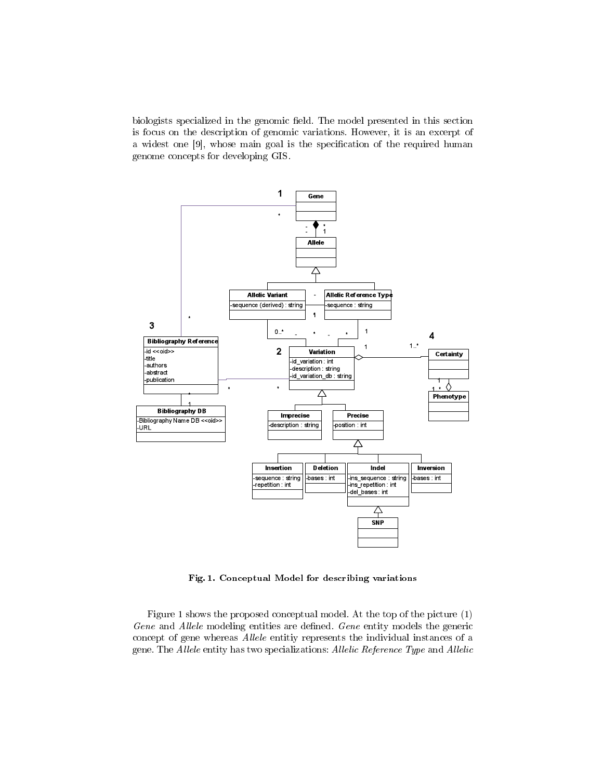biologists specialized in the genomic field. The model presented in this section is focus on the description of genomic variations. However, it is an excerpt of a widest one [9], whose main goal is the specification of the required human genome concepts for developing GIS.



Fig. 1. Conceptual Model for describing variations

Figure 1 shows the proposed conceptual model. At the top of the picture (1) Gene and Allele modeling entities are defined. Gene entity models the generic concept of gene whereas Allele entitiy represents the individual instances of a gene. The Allele entity has two specializations: Allelic Reference Type and Allelic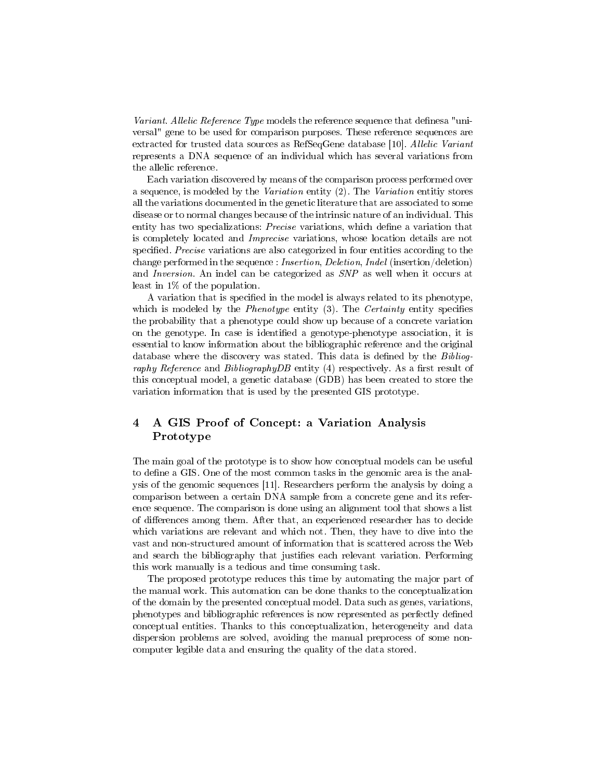Variant. Allelic Reference Type models the reference sequence that definesa "universal" gene to be used for comparison purposes. These reference sequences are extracted for trusted data sources as RefSeqGene database [10]. Allelic Variant represents a DNA sequence of an individual which has several variations from the allelic reference.

Each variation discovered by means of the comparison process performed over a sequence, is modeled by the Variation entity (2). The Variation entitiy stores all the variations documented in the genetic literature that are associated to some disease or to normal changes because of the intrinsic nature of an individual. This entity has two specializations: Precise variations, which define a variation that is completely located and Imprecise variations, whose location details are not specified. Precise variations are also categorized in four entities according to the change performed in the sequence : Insertion, Deletion, Indel (insertion/deletion) and Inversion. An indel can be categorized as SNP as well when it occurs at least in 1% of the population.

A variation that is specified in the model is always related to its phenotype, which is modeled by the *Phenotype* entity  $(3)$ . The *Certainty* entity specifies the probability that a phenotype could show up because of a concrete variation on the genotype. In case is identified a genotype-phenotype association, it is essential to know information about the bibliographic reference and the original database where the discovery was stated. This data is defined by the Bibliography Reference and BibliographyDB entity  $(4)$  respectively. As a first result of this conceptual model, a genetic database (GDB) has been created to store the variation information that is used by the presented GIS prototype.

# 4 A GIS Proof of Concept: a Variation Analysis Prototype

The main goal of the prototype is to show how conceptual models can be useful to define a GIS. One of the most common tasks in the genomic area is the analysis of the genomic sequences [11]. Researchers perform the analysis by doing a comparison between a certain DNA sample from a concrete gene and its reference sequence. The comparison is done using an alignment tool that shows a list of differences among them. After that, an experienced researcher has to decide which variations are relevant and which not. Then, they have to dive into the vast and non-structured amount of information that is scattered across the Web and search the bibliography that justifies each relevant variation. Performing this work manually is a tedious and time consuming task.

The proposed prototype reduces this time by automating the major part of the manual work. This automation can be done thanks to the conceptualization of the domain by the presented conceptual model. Data such as genes, variations, phenotypes and bibliographic references is now represented as perfectly dened conceptual entities. Thanks to this conceptualization, heterogeneity and data dispersion problems are solved, avoiding the manual preprocess of some noncomputer legible data and ensuring the quality of the data stored.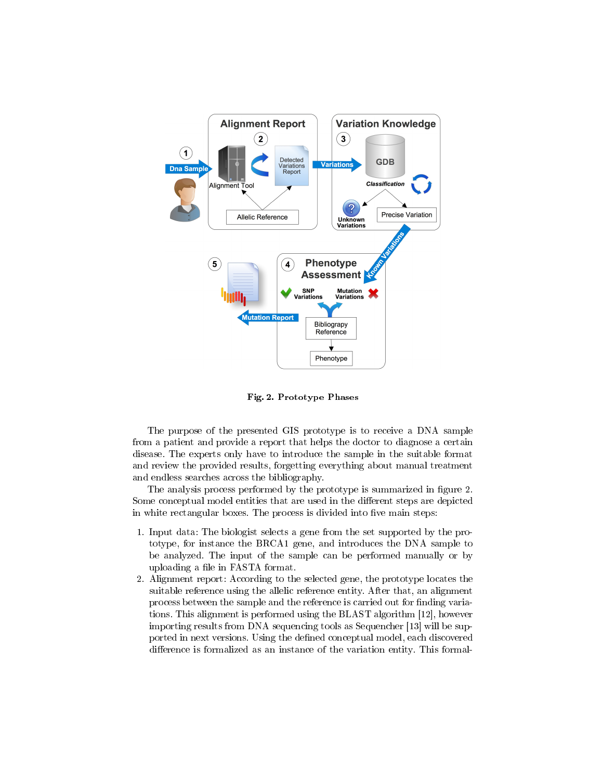

Fig. 2. Prototype Phases

The purpose of the presented GIS prototype is to receive a DNA sample from a patient and provide a report that helps the doctor to diagnose a certain disease. The experts only have to introduce the sample in the suitable format and review the provided results, forgetting everything about manual treatment and endless searches across the bibliography.

The analysis process performed by the prototype is summarized in figure 2. Some conceptual model entities that are used in the different steps are depicted in white rectangular boxes. The process is divided into five main steps:

- 1. Input data: The biologist selects a gene from the set supported by the prototype, for instance the BRCA1 gene, and introduces the DNA sample to be analyzed. The input of the sample can be performed manually or by uploading a file in FASTA format.
- 2. Alignment report: According to the selected gene, the prototype locates the suitable reference using the allelic reference entity. After that, an alignment process between the sample and the reference is carried out for finding variations. This alignment is performed using the BLAST algorithm [12], however importing results from DNA sequencing tools as Sequencher [13] will be supported in next versions. Using the defined conceptual model, each discovered difference is formalized as an instance of the variation entity. This formal-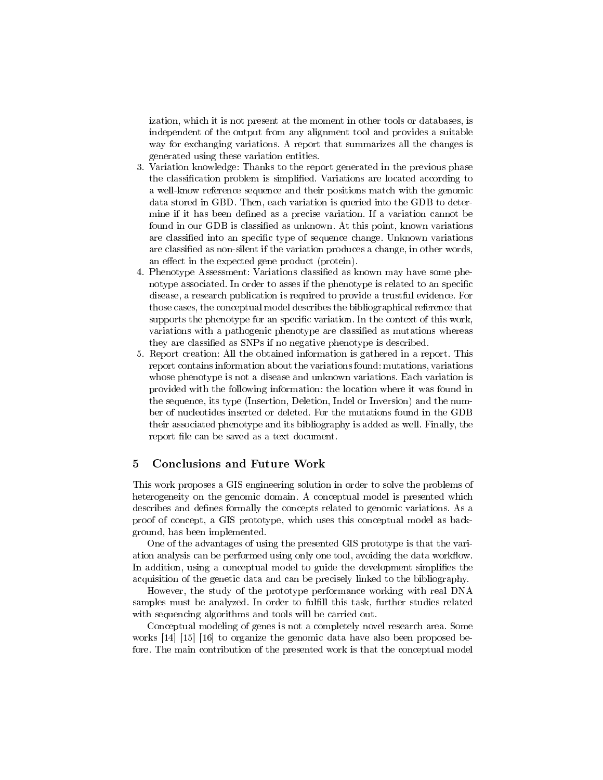ization, which it is not present at the moment in other tools or databases, is independent of the output from any alignment tool and provides a suitable way for exchanging variations. A report that summarizes all the changes is generated using these variation entities.

- 3. Variation knowledge: Thanks to the report generated in the previous phase the classification problem is simplified. Variations are located according to a well-know reference sequence and their positions match with the genomic data stored in GBD. Then, each variation is queried into the GDB to determine if it has been defined as a precise variation. If a variation cannot be found in our GDB is classified as unknown. At this point, known variations are classified into an specific type of sequence change. Unknown variations are classified as non-silent if the variation produces a change, in other words, an effect in the expected gene product (protein).
- 4. Phenotype Assessment: Variations classified as known may have some phenotype associated. In order to asses if the phenotype is related to an specific disease, a research publication is required to provide a trustful evidence. For those cases, the conceptual model describes the bibliographical reference that supports the phenotype for an specific variation. In the context of this work, variations with a pathogenic phenotype are classified as mutations whereas they are classified as SNPs if no negative phenotype is described.
- 5. Report creation: All the obtained information is gathered in a report. This report contains information about the variations found: mutations, variations whose phenotype is not a disease and unknown variations. Each variation is provided with the following information: the location where it was found in the sequence, its type (Insertion, Deletion, Indel or Inversion) and the number of nucleotides inserted or deleted. For the mutations found in the GDB their associated phenotype and its bibliography is added as well. Finally, the report file can be saved as a text document.

# 5 Conclusions and Future Work

This work proposes a GIS engineering solution in order to solve the problems of heterogeneity on the genomic domain. A conceptual model is presented which describes and defines formally the concepts related to genomic variations. As a proof of concept, a GIS prototype, which uses this conceptual model as background, has been implemented.

One of the advantages of using the presented GIS prototype is that the variation analysis can be performed using only one tool, avoiding the data workflow. In addition, using a conceptual model to guide the development simplifies the acquisition of the genetic data and can be precisely linked to the bibliography.

However, the study of the prototype performance working with real DNA samples must be analyzed. In order to fulfill this task, further studies related with sequencing algorithms and tools will be carried out.

Conceptual modeling of genes is not a completely novel research area. Some works [14] [15] [16] to organize the genomic data have also been proposed before. The main contribution of the presented work is that the conceptual model